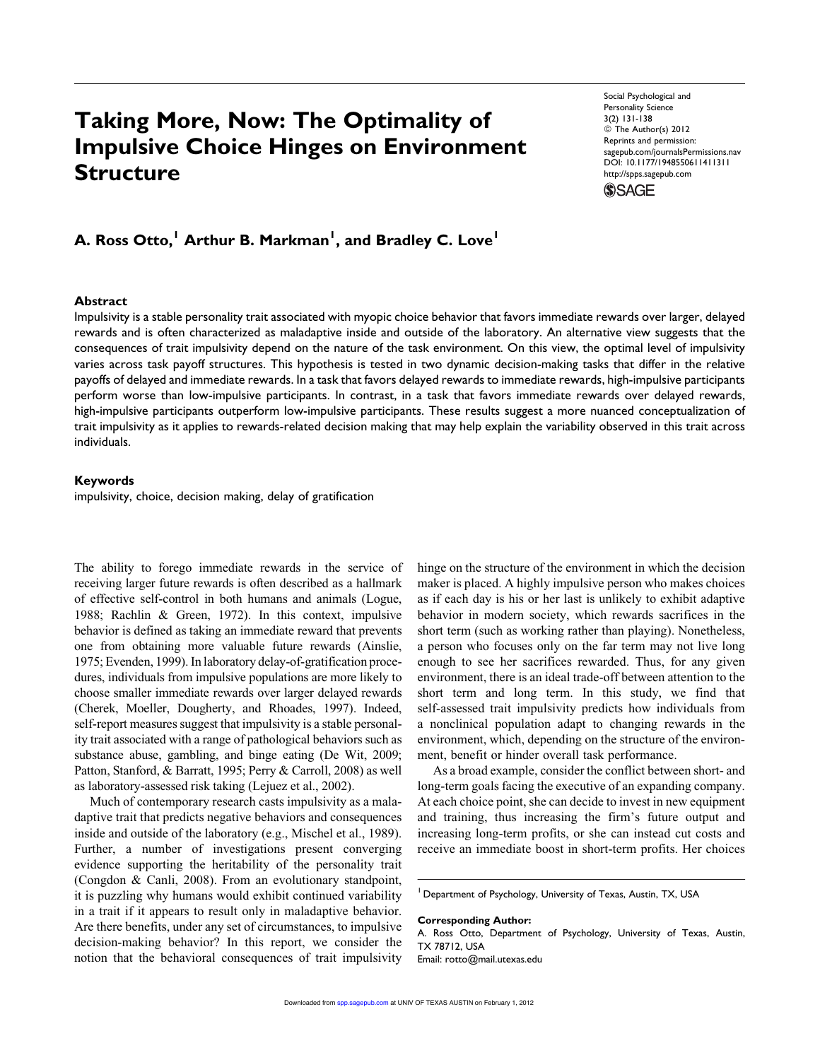# Taking More, Now: The Optimality of Impulsive Choice Hinges on Environment **Structure**

Social Psychological and Personality Science 3(2) 131-138 © The Author(s) 2012 Reprints and permission: sagepub.com/journalsPermissions.nav DOI: 10.1177/1948550611411311 http://spps.sagepub.com **SSAGE** 

A. Ross Otto,<sup>I</sup> Arthur B. Markman<sup>1</sup>, and Bradley C. Love<sup>1</sup>

# Abstract

Impulsivity is a stable personality trait associated with myopic choice behavior that favors immediate rewards over larger, delayed rewards and is often characterized as maladaptive inside and outside of the laboratory. An alternative view suggests that the consequences of trait impulsivity depend on the nature of the task environment. On this view, the optimal level of impulsivity varies across task payoff structures. This hypothesis is tested in two dynamic decision-making tasks that differ in the relative payoffs of delayed and immediate rewards. In a task that favors delayed rewards to immediate rewards, high-impulsive participants perform worse than low-impulsive participants. In contrast, in a task that favors immediate rewards over delayed rewards, high-impulsive participants outperform low-impulsive participants. These results suggest a more nuanced conceptualization of trait impulsivity as it applies to rewards-related decision making that may help explain the variability observed in this trait across individuals.

#### Keywords

impulsivity, choice, decision making, delay of gratification

The ability to forego immediate rewards in the service of receiving larger future rewards is often described as a hallmark of effective self-control in both humans and animals (Logue, 1988; Rachlin & Green, 1972). In this context, impulsive behavior is defined as taking an immediate reward that prevents one from obtaining more valuable future rewards (Ainslie, 1975; Evenden, 1999). In laboratory delay-of-gratification procedures, individuals from impulsive populations are more likely to choose smaller immediate rewards over larger delayed rewards (Cherek, Moeller, Dougherty, and Rhoades, 1997). Indeed, self-report measures suggest that impulsivity is a stable personality trait associated with a range of pathological behaviors such as substance abuse, gambling, and binge eating (De Wit, 2009; Patton, Stanford, & Barratt, 1995; Perry & Carroll, 2008) as well as laboratory-assessed risk taking (Lejuez et al., 2002).

Much of contemporary research casts impulsivity as a maladaptive trait that predicts negative behaviors and consequences inside and outside of the laboratory (e.g., Mischel et al., 1989). Further, a number of investigations present converging evidence supporting the heritability of the personality trait (Congdon & Canli, 2008). From an evolutionary standpoint, it is puzzling why humans would exhibit continued variability in a trait if it appears to result only in maladaptive behavior. Are there benefits, under any set of circumstances, to impulsive decision-making behavior? In this report, we consider the notion that the behavioral consequences of trait impulsivity

hinge on the structure of the environment in which the decision maker is placed. A highly impulsive person who makes choices as if each day is his or her last is unlikely to exhibit adaptive behavior in modern society, which rewards sacrifices in the short term (such as working rather than playing). Nonetheless, a person who focuses only on the far term may not live long enough to see her sacrifices rewarded. Thus, for any given environment, there is an ideal trade-off between attention to the short term and long term. In this study, we find that self-assessed trait impulsivity predicts how individuals from a nonclinical population adapt to changing rewards in the environment, which, depending on the structure of the environment, benefit or hinder overall task performance.

As a broad example, consider the conflict between short- and long-term goals facing the executive of an expanding company. At each choice point, she can decide to invest in new equipment and training, thus increasing the firm's future output and increasing long-term profits, or she can instead cut costs and receive an immediate boost in short-term profits. Her choices

<sup>1</sup> Department of Psychology, University of Texas, Austin, TX, USA

#### Corresponding Author:

A. Ross Otto, Department of Psychology, University of Texas, Austin, TX 78712, USA Email: rotto@mail.utexas.edu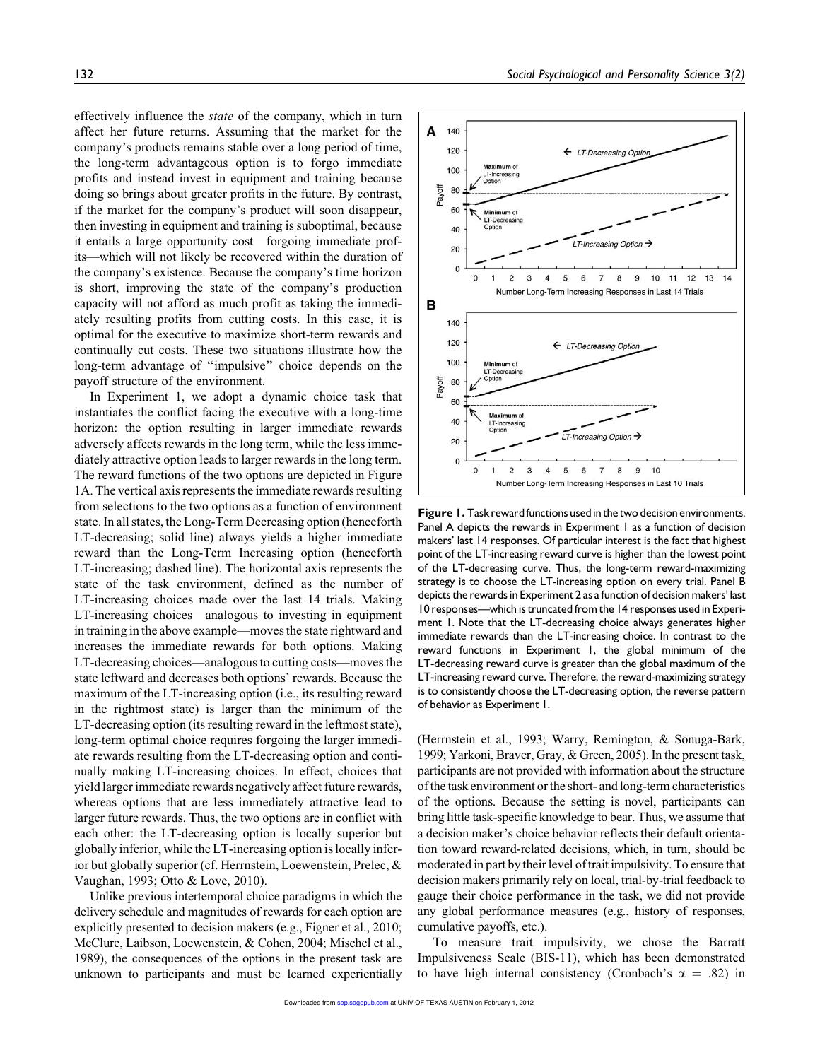effectively influence the state of the company, which in turn affect her future returns. Assuming that the market for the company's products remains stable over a long period of time, the long-term advantageous option is to forgo immediate profits and instead invest in equipment and training because doing so brings about greater profits in the future. By contrast, if the market for the company's product will soon disappear, then investing in equipment and training is suboptimal, because it entails a large opportunity cost—forgoing immediate profits—which will not likely be recovered within the duration of the company's existence. Because the company's time horizon is short, improving the state of the company's production capacity will not afford as much profit as taking the immediately resulting profits from cutting costs. In this case, it is optimal for the executive to maximize short-term rewards and continually cut costs. These two situations illustrate how the long-term advantage of ''impulsive'' choice depends on the payoff structure of the environment.

In Experiment 1, we adopt a dynamic choice task that instantiates the conflict facing the executive with a long-time horizon: the option resulting in larger immediate rewards adversely affects rewards in the long term, while the less immediately attractive option leads to larger rewards in the long term. The reward functions of the two options are depicted in Figure 1A. The vertical axis represents the immediate rewards resulting from selections to the two options as a function of environment state. In all states, the Long-Term Decreasing option (henceforth LT-decreasing; solid line) always yields a higher immediate reward than the Long-Term Increasing option (henceforth LT-increasing; dashed line). The horizontal axis represents the state of the task environment, defined as the number of LT-increasing choices made over the last 14 trials. Making LT-increasing choices—analogous to investing in equipment in training in the above example—moves the state rightward and increases the immediate rewards for both options. Making LT-decreasing choices—analogous to cutting costs—moves the state leftward and decreases both options' rewards. Because the maximum of the LT-increasing option (i.e., its resulting reward in the rightmost state) is larger than the minimum of the LT-decreasing option (its resulting reward in the leftmost state), long-term optimal choice requires forgoing the larger immediate rewards resulting from the LT-decreasing option and continually making LT-increasing choices. In effect, choices that yield larger immediate rewards negatively affect future rewards, whereas options that are less immediately attractive lead to larger future rewards. Thus, the two options are in conflict with each other: the LT-decreasing option is locally superior but globally inferior, while the LT-increasing option is locally inferior but globally superior (cf. Herrnstein, Loewenstein, Prelec, & Vaughan, 1993; Otto & Love, 2010).

Unlike previous intertemporal choice paradigms in which the delivery schedule and magnitudes of rewards for each option are explicitly presented to decision makers (e.g., Figner et al., 2010; McClure, Laibson, Loewenstein, & Cohen, 2004; Mischel et al., 1989), the consequences of the options in the present task are unknown to participants and must be learned experientially



Figure 1. Task reward functions used in the two decision environments. Panel A depicts the rewards in Experiment 1 as a function of decision makers' last 14 responses. Of particular interest is the fact that highest point of the LT-increasing reward curve is higher than the lowest point of the LT-decreasing curve. Thus, the long-term reward-maximizing strategy is to choose the LT-increasing option on every trial. Panel B depicts the rewards in Experiment 2 as a function of decision makers' last 10 responses—which is truncated from the 14 responses used in Experiment 1. Note that the LT-decreasing choice always generates higher immediate rewards than the LT-increasing choice. In contrast to the reward functions in Experiment 1, the global minimum of the LT-decreasing reward curve is greater than the global maximum of the LT-increasing reward curve. Therefore, the reward-maximizing strategy is to consistently choose the LT-decreasing option, the reverse pattern of behavior as Experiment 1.

(Herrnstein et al., 1993; Warry, Remington, & Sonuga-Bark, 1999; Yarkoni, Braver, Gray, & Green, 2005). In the present task, participants are not provided with information about the structure ofthe task environment orthe short- and long-term characteristics of the options. Because the setting is novel, participants can bring little task-specific knowledge to bear. Thus, we assume that a decision maker's choice behavior reflects their default orientation toward reward-related decisions, which, in turn, should be moderated in part by their level of trait impulsivity. To ensure that decision makers primarily rely on local, trial-by-trial feedback to gauge their choice performance in the task, we did not provide any global performance measures (e.g., history of responses, cumulative payoffs, etc.).

To measure trait impulsivity, we chose the Barratt Impulsiveness Scale (BIS-11), which has been demonstrated to have high internal consistency (Cronbach's  $\alpha = .82$ ) in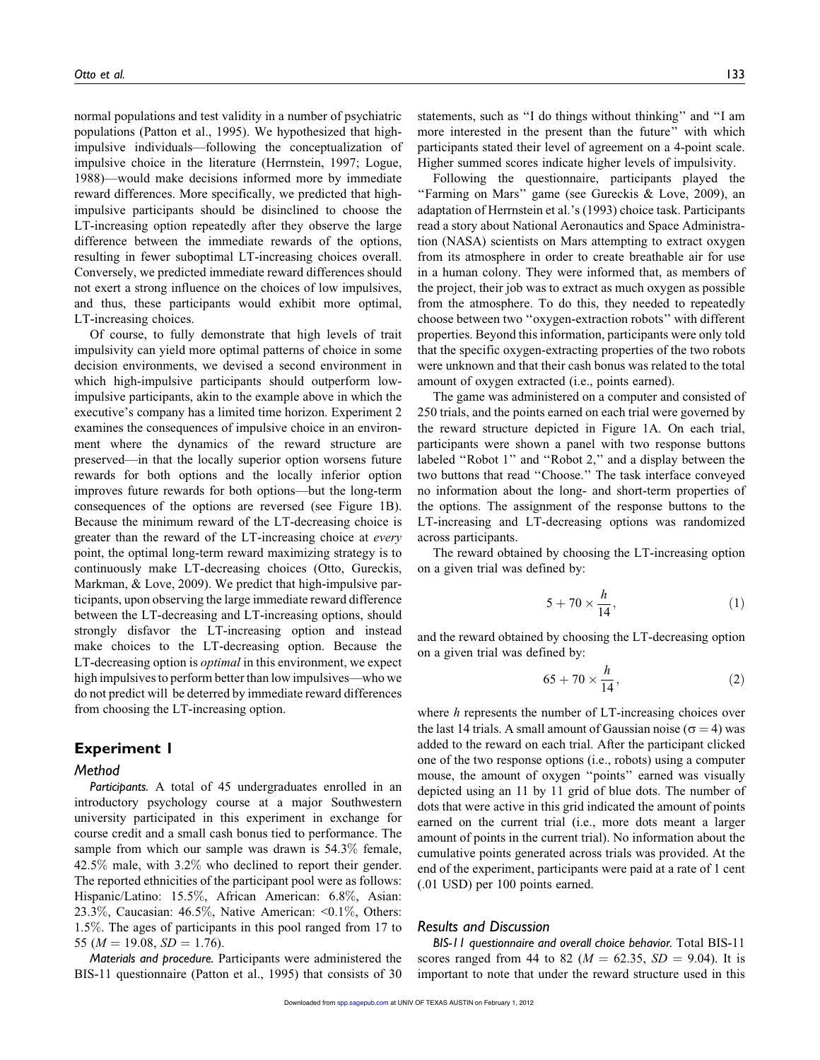normal populations and test validity in a number of psychiatric populations (Patton et al., 1995). We hypothesized that highimpulsive individuals—following the conceptualization of impulsive choice in the literature (Herrnstein, 1997; Logue, 1988)—would make decisions informed more by immediate reward differences. More specifically, we predicted that highimpulsive participants should be disinclined to choose the LT-increasing option repeatedly after they observe the large difference between the immediate rewards of the options, resulting in fewer suboptimal LT-increasing choices overall. Conversely, we predicted immediate reward differences should not exert a strong influence on the choices of low impulsives, and thus, these participants would exhibit more optimal, LT-increasing choices.

Of course, to fully demonstrate that high levels of trait impulsivity can yield more optimal patterns of choice in some decision environments, we devised a second environment in which high-impulsive participants should outperform lowimpulsive participants, akin to the example above in which the executive's company has a limited time horizon. Experiment 2 examines the consequences of impulsive choice in an environment where the dynamics of the reward structure are preserved—in that the locally superior option worsens future rewards for both options and the locally inferior option improves future rewards for both options—but the long-term consequences of the options are reversed (see Figure 1B). Because the minimum reward of the LT-decreasing choice is greater than the reward of the LT-increasing choice at every point, the optimal long-term reward maximizing strategy is to continuously make LT-decreasing choices (Otto, Gureckis, Markman, & Love, 2009). We predict that high-impulsive participants, upon observing the large immediate reward difference between the LT-decreasing and LT-increasing options, should strongly disfavor the LT-increasing option and instead make choices to the LT-decreasing option. Because the LT-decreasing option is optimal in this environment, we expect high impulsives to perform better than low impulsives—who we do not predict will be deterred by immediate reward differences from choosing the LT-increasing option.

## Experiment 1

## Method

Participants. A total of 45 undergraduates enrolled in an introductory psychology course at a major Southwestern university participated in this experiment in exchange for course credit and a small cash bonus tied to performance. The sample from which our sample was drawn is 54.3% female, 42.5% male, with 3.2% who declined to report their gender. The reported ethnicities of the participant pool were as follows: Hispanic/Latino: 15.5%, African American: 6.8%, Asian: 23.3%, Caucasian: 46.5%, Native American: <0.1%, Others: 1.5%. The ages of participants in this pool ranged from 17 to 55 ( $M = 19.08$ ,  $SD = 1.76$ ).

Materials and procedure. Participants were administered the BIS-11 questionnaire (Patton et al., 1995) that consists of 30

statements, such as ''I do things without thinking'' and ''I am more interested in the present than the future'' with which participants stated their level of agreement on a 4-point scale. Higher summed scores indicate higher levels of impulsivity.

Following the questionnaire, participants played the ''Farming on Mars'' game (see Gureckis & Love, 2009), an adaptation of Herrnstein et al.'s (1993) choice task. Participants read a story about National Aeronautics and Space Administration (NASA) scientists on Mars attempting to extract oxygen from its atmosphere in order to create breathable air for use in a human colony. They were informed that, as members of the project, their job was to extract as much oxygen as possible from the atmosphere. To do this, they needed to repeatedly choose between two ''oxygen-extraction robots'' with different properties. Beyond this information, participants were only told that the specific oxygen-extracting properties of the two robots were unknown and that their cash bonus was related to the total amount of oxygen extracted (i.e., points earned).

The game was administered on a computer and consisted of 250 trials, and the points earned on each trial were governed by the reward structure depicted in Figure 1A. On each trial, participants were shown a panel with two response buttons labeled "Robot 1" and "Robot 2," and a display between the two buttons that read ''Choose.'' The task interface conveyed no information about the long- and short-term properties of the options. The assignment of the response buttons to the LT-increasing and LT-decreasing options was randomized across participants.

The reward obtained by choosing the LT-increasing option on a given trial was defined by:

$$
5 + 70 \times \frac{h}{14},\tag{1}
$$

and the reward obtained by choosing the LT-decreasing option on a given trial was defined by:

$$
65 + 70 \times \frac{h}{14},\tag{2}
$$

where h represents the number of LT-increasing choices over the last 14 trials. A small amount of Gaussian noise ( $\sigma = 4$ ) was added to the reward on each trial. After the participant clicked one of the two response options (i.e., robots) using a computer mouse, the amount of oxygen ''points'' earned was visually depicted using an 11 by 11 grid of blue dots. The number of dots that were active in this grid indicated the amount of points earned on the current trial (i.e., more dots meant a larger amount of points in the current trial). No information about the cumulative points generated across trials was provided. At the end of the experiment, participants were paid at a rate of 1 cent (.01 USD) per 100 points earned.

## Results and Discussion

BIS-11 questionnaire and overall choice behavior. Total BIS-11 scores ranged from 44 to 82 ( $M = 62.35$ ,  $SD = 9.04$ ). It is important to note that under the reward structure used in this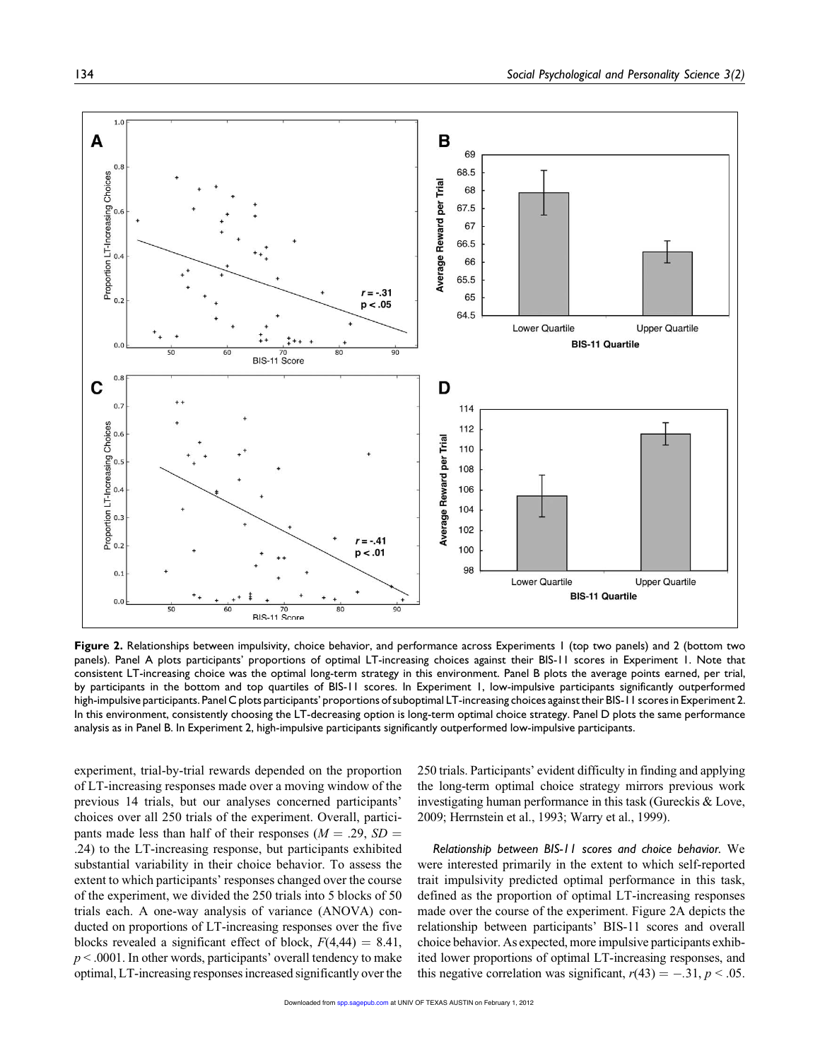

Figure 2. Relationships between impulsivity, choice behavior, and performance across Experiments 1 (top two panels) and 2 (bottom two panels). Panel A plots participants' proportions of optimal LT-increasing choices against their BIS-11 scores in Experiment 1. Note that consistent LT-increasing choice was the optimal long-term strategy in this environment. Panel B plots the average points earned, per trial, by participants in the bottom and top quartiles of BIS-11 scores. In Experiment 1, low-impulsive participants significantly outperformed high-impulsive participants. Panel C plots participants' proportions of suboptimal LT-increasing choices against their BIS-11 scores in Experiment 2. In this environment, consistently choosing the LT-decreasing option is long-term optimal choice strategy. Panel D plots the same performance analysis as in Panel B. In Experiment 2, high-impulsive participants significantly outperformed low-impulsive participants.

experiment, trial-by-trial rewards depended on the proportion of LT-increasing responses made over a moving window of the previous 14 trials, but our analyses concerned participants' choices over all 250 trials of the experiment. Overall, participants made less than half of their responses ( $M = .29$ ,  $SD =$ .24) to the LT-increasing response, but participants exhibited substantial variability in their choice behavior. To assess the extent to which participants' responses changed over the course of the experiment, we divided the 250 trials into 5 blocks of 50 trials each. A one-way analysis of variance (ANOVA) conducted on proportions of LT-increasing responses over the five blocks revealed a significant effect of block,  $F(4,44) = 8.41$ ,  $p < .0001$ . In other words, participants' overall tendency to make optimal, LT-increasing responses increased significantly over the 250 trials. Participants' evident difficulty in finding and applying the long-term optimal choice strategy mirrors previous work investigating human performance in this task (Gureckis & Love, 2009; Herrnstein et al., 1993; Warry et al., 1999).

Relationship between BIS-11 scores and choice behavior. We were interested primarily in the extent to which self-reported trait impulsivity predicted optimal performance in this task, defined as the proportion of optimal LT-increasing responses made over the course of the experiment. Figure 2A depicts the relationship between participants' BIS-11 scores and overall choice behavior. As expected, more impulsive participants exhibited lower proportions of optimal LT-increasing responses, and this negative correlation was significant,  $r(43) = -.31$ ,  $p < .05$ .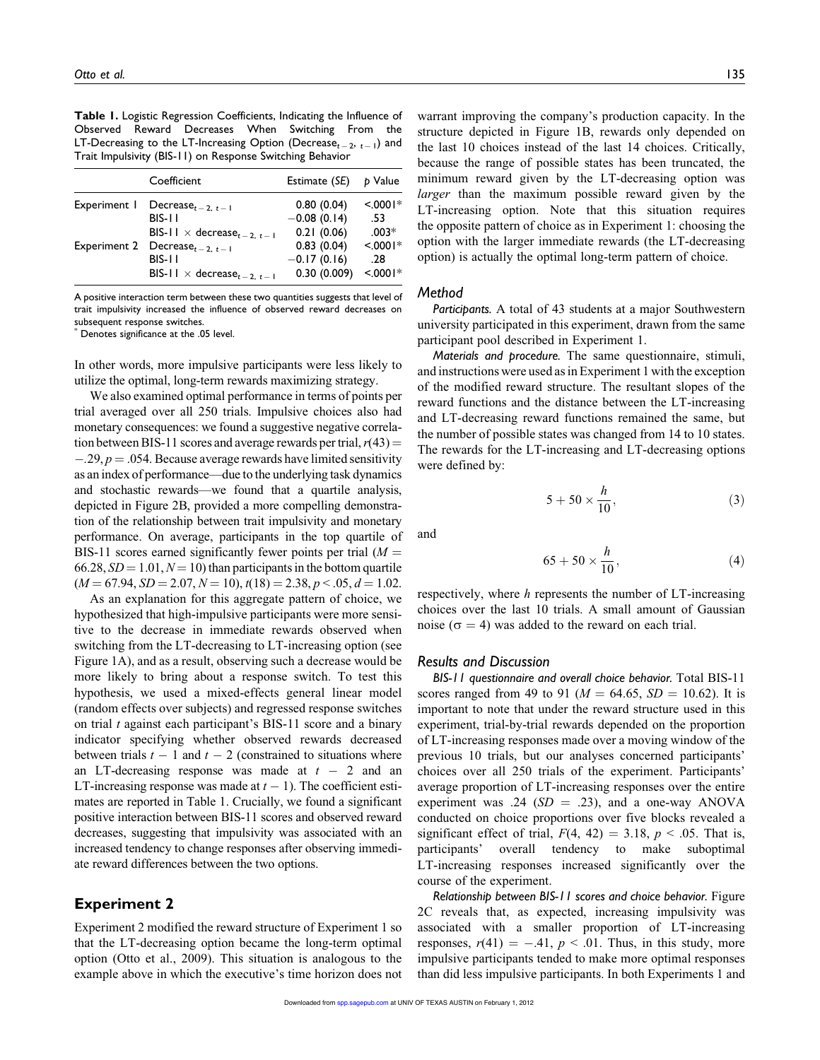Table 1. Logistic Regression Coefficients, Indicating the Influence of Observed Reward Decreases When Switching From the LT-Decreasing to the LT-Increasing Option (Decrease $_{t-2, t-1}$ ) and Trait Impulsivity (BIS-11) on Response Switching Behavior

|              | Coefficient                                            | Estimate (SE) | b Value    |
|--------------|--------------------------------------------------------|---------------|------------|
| Experiment I | Decrease <sub><math>t-2</math>, <math>t-1</math></sub> | 0.80(0.04)    | $< 0.001*$ |
|              | BIS-11                                                 | $-0.08(0.14)$ | .53        |
|              | BIS-II $\times$ decrease <sub>t - 2, t-1</sub>         | 0.21(0.06)    | $.003*$    |
|              | Experiment 2 Decrease <sub>t - 2, t-1</sub>            | 0.83(0.04)    | $< 0.001*$ |
|              | BIS-11                                                 | $-0.17(0.16)$ | .28        |
|              | BIS-II $\times$ decrease <sub>t - 2, t-1</sub>         | 0.30(0.009)   | $< 0.001*$ |

A positive interaction term between these two quantities suggests that level of trait impulsivity increased the influence of observed reward decreases on subsequent response switches.

\* Denotes significance at the .05 level.

In other words, more impulsive participants were less likely to utilize the optimal, long-term rewards maximizing strategy.

We also examined optimal performance in terms of points per trial averaged over all 250 trials. Impulsive choices also had monetary consequences: we found a suggestive negative correlation between BIS-11 scores and average rewards per trial,  $r(43)$  =  $-.29, p = .054$ . Because average rewards have limited sensitivity as an index of performance—due to the underlying task dynamics and stochastic rewards—we found that a quartile analysis, depicted in Figure 2B, provided a more compelling demonstration of the relationship between trait impulsivity and monetary performance. On average, participants in the top quartile of BIS-11 scores earned significantly fewer points per trial  $(M =$  $66.28$ ,  $SD = 1.01$ ,  $N = 10$ ) than participants in the bottom quartile  $(M = 67.94, SD = 2.07, N = 10), t(18) = 2.38, p < .05, d = 1.02.$ 

As an explanation for this aggregate pattern of choice, we hypothesized that high-impulsive participants were more sensitive to the decrease in immediate rewards observed when switching from the LT-decreasing to LT-increasing option (see Figure 1A), and as a result, observing such a decrease would be more likely to bring about a response switch. To test this hypothesis, we used a mixed-effects general linear model (random effects over subjects) and regressed response switches on trial t against each participant's BIS-11 score and a binary indicator specifying whether observed rewards decreased between trials  $t - 1$  and  $t - 2$  (constrained to situations where an LT-decreasing response was made at  $t - 2$  and an LT-increasing response was made at  $t - 1$ ). The coefficient estimates are reported in Table 1. Crucially, we found a significant positive interaction between BIS-11 scores and observed reward decreases, suggesting that impulsivity was associated with an increased tendency to change responses after observing immediate reward differences between the two options.

# Experiment 2

Experiment 2 modified the reward structure of Experiment 1 so that the LT-decreasing option became the long-term optimal option (Otto et al., 2009). This situation is analogous to the example above in which the executive's time horizon does not

warrant improving the company's production capacity. In the structure depicted in Figure 1B, rewards only depended on the last 10 choices instead of the last 14 choices. Critically, because the range of possible states has been truncated, the minimum reward given by the LT-decreasing option was larger than the maximum possible reward given by the LT-increasing option. Note that this situation requires the opposite pattern of choice as in Experiment 1: choosing the option with the larger immediate rewards (the LT-decreasing option) is actually the optimal long-term pattern of choice.

## Method

Participants. A total of 43 students at a major Southwestern university participated in this experiment, drawn from the same participant pool described in Experiment 1.

Materials and procedure. The same questionnaire, stimuli, and instructions were used as in Experiment 1 with the exception of the modified reward structure. The resultant slopes of the reward functions and the distance between the LT-increasing and LT-decreasing reward functions remained the same, but the number of possible states was changed from 14 to 10 states. The rewards for the LT-increasing and LT-decreasing options were defined by:

$$
5 + 50 \times \frac{h}{10},\tag{3}
$$

and

$$
65 + 50 \times \frac{h}{10},\tag{4}
$$

respectively, where  $h$  represents the number of LT-increasing choices over the last 10 trials. A small amount of Gaussian noise ( $\sigma = 4$ ) was added to the reward on each trial.

## Results and Discussion

BIS-11 questionnaire and overall choice behavior. Total BIS-11 scores ranged from 49 to 91 ( $M = 64.65$ ,  $SD = 10.62$ ). It is important to note that under the reward structure used in this experiment, trial-by-trial rewards depended on the proportion of LT-increasing responses made over a moving window of the previous 10 trials, but our analyses concerned participants' choices over all 250 trials of the experiment. Participants' average proportion of LT-increasing responses over the entire experiment was .24  $(SD = .23)$ , and a one-way ANOVA conducted on choice proportions over five blocks revealed a significant effect of trial,  $F(4, 42) = 3.18$ ,  $p < .05$ . That is, participants' overall tendency to make suboptimal overall tendency to make suboptimal LT-increasing responses increased significantly over the course of the experiment.

Relationship between BIS-11 scores and choice behavior. Figure 2C reveals that, as expected, increasing impulsivity was associated with a smaller proportion of LT-increasing responses,  $r(41) = -.41$ ,  $p < .01$ . Thus, in this study, more impulsive participants tended to make more optimal responses than did less impulsive participants. In both Experiments 1 and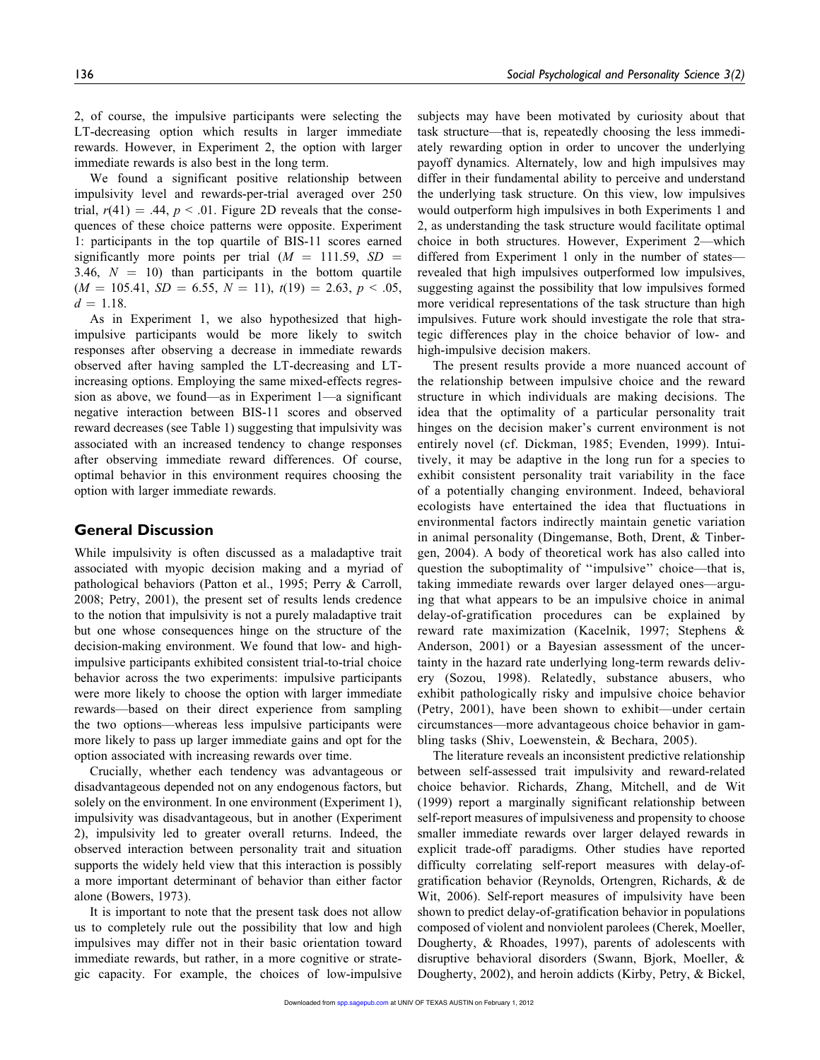2, of course, the impulsive participants were selecting the LT-decreasing option which results in larger immediate rewards. However, in Experiment 2, the option with larger immediate rewards is also best in the long term.

We found a significant positive relationship between impulsivity level and rewards-per-trial averaged over 250 trial,  $r(41) = .44$ ,  $p < .01$ . Figure 2D reveals that the consequences of these choice patterns were opposite. Experiment 1: participants in the top quartile of BIS-11 scores earned significantly more points per trial ( $M = 111.59$ ,  $SD =$ 3.46,  $N = 10$ ) than participants in the bottom quartile  $(M = 105.41, SD = 6.55, N = 11), t(19) = 2.63, p < .05,$  $d = 1.18.$ 

As in Experiment 1, we also hypothesized that highimpulsive participants would be more likely to switch responses after observing a decrease in immediate rewards observed after having sampled the LT-decreasing and LTincreasing options. Employing the same mixed-effects regression as above, we found—as in Experiment 1—a significant negative interaction between BIS-11 scores and observed reward decreases (see Table 1) suggesting that impulsivity was associated with an increased tendency to change responses after observing immediate reward differences. Of course, optimal behavior in this environment requires choosing the option with larger immediate rewards.

# General Discussion

While impulsivity is often discussed as a maladaptive trait associated with myopic decision making and a myriad of pathological behaviors (Patton et al., 1995; Perry & Carroll, 2008; Petry, 2001), the present set of results lends credence to the notion that impulsivity is not a purely maladaptive trait but one whose consequences hinge on the structure of the decision-making environment. We found that low- and highimpulsive participants exhibited consistent trial-to-trial choice behavior across the two experiments: impulsive participants were more likely to choose the option with larger immediate rewards—based on their direct experience from sampling the two options—whereas less impulsive participants were more likely to pass up larger immediate gains and opt for the option associated with increasing rewards over time.

Crucially, whether each tendency was advantageous or disadvantageous depended not on any endogenous factors, but solely on the environment. In one environment (Experiment 1), impulsivity was disadvantageous, but in another (Experiment 2), impulsivity led to greater overall returns. Indeed, the observed interaction between personality trait and situation supports the widely held view that this interaction is possibly a more important determinant of behavior than either factor alone (Bowers, 1973).

It is important to note that the present task does not allow us to completely rule out the possibility that low and high impulsives may differ not in their basic orientation toward immediate rewards, but rather, in a more cognitive or strategic capacity. For example, the choices of low-impulsive

subjects may have been motivated by curiosity about that task structure—that is, repeatedly choosing the less immediately rewarding option in order to uncover the underlying payoff dynamics. Alternately, low and high impulsives may differ in their fundamental ability to perceive and understand the underlying task structure. On this view, low impulsives would outperform high impulsives in both Experiments 1 and 2, as understanding the task structure would facilitate optimal choice in both structures. However, Experiment 2—which differed from Experiment 1 only in the number of states revealed that high impulsives outperformed low impulsives, suggesting against the possibility that low impulsives formed more veridical representations of the task structure than high impulsives. Future work should investigate the role that strategic differences play in the choice behavior of low- and high-impulsive decision makers.

The present results provide a more nuanced account of the relationship between impulsive choice and the reward structure in which individuals are making decisions. The idea that the optimality of a particular personality trait hinges on the decision maker's current environment is not entirely novel (cf. Dickman, 1985; Evenden, 1999). Intuitively, it may be adaptive in the long run for a species to exhibit consistent personality trait variability in the face of a potentially changing environment. Indeed, behavioral ecologists have entertained the idea that fluctuations in environmental factors indirectly maintain genetic variation in animal personality (Dingemanse, Both, Drent, & Tinbergen, 2004). A body of theoretical work has also called into question the suboptimality of ''impulsive'' choice—that is, taking immediate rewards over larger delayed ones—arguing that what appears to be an impulsive choice in animal delay-of-gratification procedures can be explained by reward rate maximization (Kacelnik, 1997; Stephens & Anderson, 2001) or a Bayesian assessment of the uncertainty in the hazard rate underlying long-term rewards delivery (Sozou, 1998). Relatedly, substance abusers, who exhibit pathologically risky and impulsive choice behavior (Petry, 2001), have been shown to exhibit—under certain circumstances—more advantageous choice behavior in gambling tasks (Shiv, Loewenstein, & Bechara, 2005).

The literature reveals an inconsistent predictive relationship between self-assessed trait impulsivity and reward-related choice behavior. Richards, Zhang, Mitchell, and de Wit (1999) report a marginally significant relationship between self-report measures of impulsiveness and propensity to choose smaller immediate rewards over larger delayed rewards in explicit trade-off paradigms. Other studies have reported difficulty correlating self-report measures with delay-ofgratification behavior (Reynolds, Ortengren, Richards, & de Wit, 2006). Self-report measures of impulsivity have been shown to predict delay-of-gratification behavior in populations composed of violent and nonviolent parolees (Cherek, Moeller, Dougherty, & Rhoades, 1997), parents of adolescents with disruptive behavioral disorders (Swann, Bjork, Moeller, & Dougherty, 2002), and heroin addicts (Kirby, Petry, & Bickel,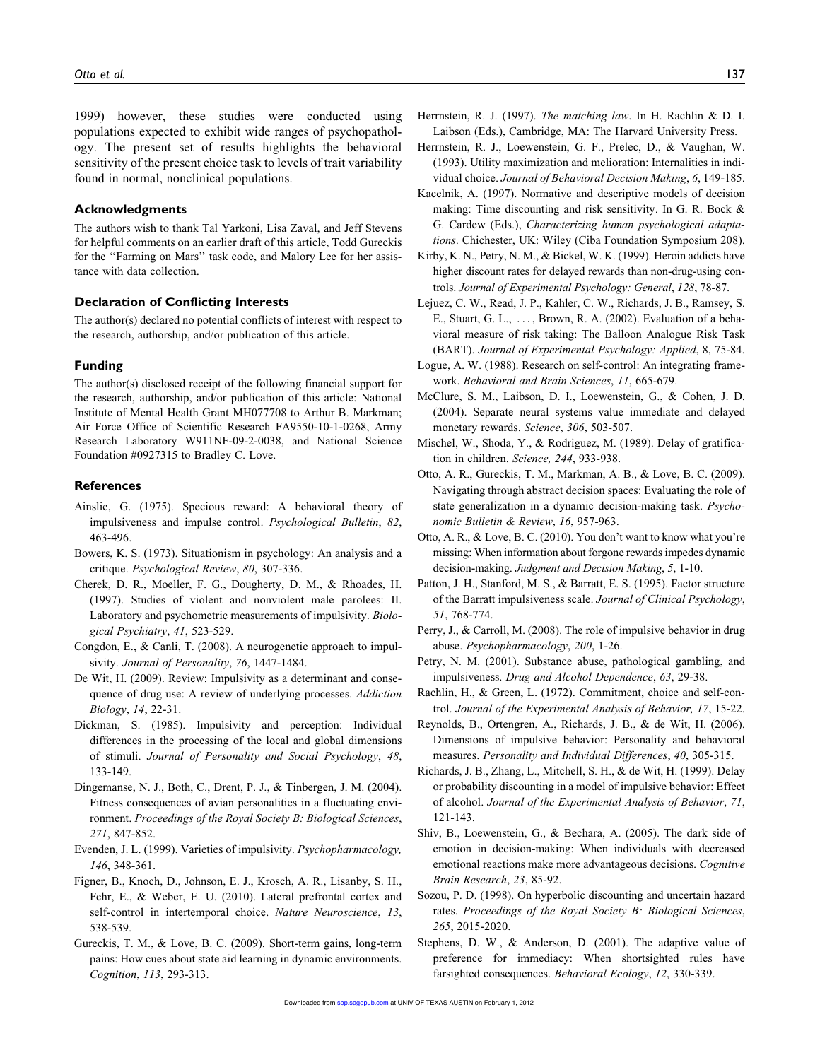1999)—however, these studies were conducted using populations expected to exhibit wide ranges of psychopathology. The present set of results highlights the behavioral sensitivity of the present choice task to levels of trait variability found in normal, nonclinical populations.

#### Acknowledgments

The authors wish to thank Tal Yarkoni, Lisa Zaval, and Jeff Stevens for helpful comments on an earlier draft of this article, Todd Gureckis for the ''Farming on Mars'' task code, and Malory Lee for her assistance with data collection.

## Declaration of Conflicting Interests

The author(s) declared no potential conflicts of interest with respect to the research, authorship, and/or publication of this article.

#### Funding

The author(s) disclosed receipt of the following financial support for the research, authorship, and/or publication of this article: National Institute of Mental Health Grant MH077708 to Arthur B. Markman; Air Force Office of Scientific Research FA9550-10-1-0268, Army Research Laboratory W911NF-09-2-0038, and National Science Foundation #0927315 to Bradley C. Love.

#### **References**

- Ainslie, G. (1975). Specious reward: A behavioral theory of impulsiveness and impulse control. Psychological Bulletin, 82, 463-496.
- Bowers, K. S. (1973). Situationism in psychology: An analysis and a critique. Psychological Review, 80, 307-336.
- Cherek, D. R., Moeller, F. G., Dougherty, D. M., & Rhoades, H. (1997). Studies of violent and nonviolent male parolees: II. Laboratory and psychometric measurements of impulsivity. Biological Psychiatry, 41, 523-529.
- Congdon, E., & Canli, T. (2008). A neurogenetic approach to impulsivity. Journal of Personality, 76, 1447-1484.
- De Wit, H. (2009). Review: Impulsivity as a determinant and consequence of drug use: A review of underlying processes. Addiction Biology, 14, 22-31.
- Dickman, S. (1985). Impulsivity and perception: Individual differences in the processing of the local and global dimensions of stimuli. Journal of Personality and Social Psychology, 48, 133-149.
- Dingemanse, N. J., Both, C., Drent, P. J., & Tinbergen, J. M. (2004). Fitness consequences of avian personalities in a fluctuating environment. Proceedings of the Royal Society B: Biological Sciences, 271, 847-852.
- Evenden, J. L. (1999). Varieties of impulsivity. Psychopharmacology, 146, 348-361.
- Figner, B., Knoch, D., Johnson, E. J., Krosch, A. R., Lisanby, S. H., Fehr, E., & Weber, E. U. (2010). Lateral prefrontal cortex and self-control in intertemporal choice. Nature Neuroscience, 13, 538-539.
- Gureckis, T. M., & Love, B. C. (2009). Short-term gains, long-term pains: How cues about state aid learning in dynamic environments. Cognition, 113, 293-313.
- Herrnstein, R. J. (1997). The matching law. In H. Rachlin & D. I. Laibson (Eds.), Cambridge, MA: The Harvard University Press.
- Herrnstein, R. J., Loewenstein, G. F., Prelec, D., & Vaughan, W. (1993). Utility maximization and melioration: Internalities in individual choice. Journal of Behavioral Decision Making, 6, 149-185.
- Kacelnik, A. (1997). Normative and descriptive models of decision making: Time discounting and risk sensitivity. In G. R. Bock & G. Cardew (Eds.), Characterizing human psychological adaptations. Chichester, UK: Wiley (Ciba Foundation Symposium 208).
- Kirby, K. N., Petry, N. M., & Bickel, W. K. (1999). Heroin addicts have higher discount rates for delayed rewards than non-drug-using controls. Journal of Experimental Psychology: General, 128, 78-87.
- Lejuez, C. W., Read, J. P., Kahler, C. W., Richards, J. B., Ramsey, S. E., Stuart, G. L., ... , Brown, R. A. (2002). Evaluation of a behavioral measure of risk taking: The Balloon Analogue Risk Task (BART). Journal of Experimental Psychology: Applied, 8, 75-84.
- Logue, A. W. (1988). Research on self-control: An integrating framework. Behavioral and Brain Sciences, 11, 665-679.
- McClure, S. M., Laibson, D. I., Loewenstein, G., & Cohen, J. D. (2004). Separate neural systems value immediate and delayed monetary rewards. Science, 306, 503-507.
- Mischel, W., Shoda, Y., & Rodriguez, M. (1989). Delay of gratification in children. Science, 244, 933-938.
- Otto, A. R., Gureckis, T. M., Markman, A. B., & Love, B. C. (2009). Navigating through abstract decision spaces: Evaluating the role of state generalization in a dynamic decision-making task. Psychonomic Bulletin & Review, 16, 957-963.
- Otto, A. R., & Love, B. C. (2010). You don't want to know what you're missing: When information about forgone rewards impedes dynamic decision-making. Judgment and Decision Making, 5, 1-10.
- Patton, J. H., Stanford, M. S., & Barratt, E. S. (1995). Factor structure of the Barratt impulsiveness scale. Journal of Clinical Psychology, 51, 768-774.
- Perry, J., & Carroll, M. (2008). The role of impulsive behavior in drug abuse. Psychopharmacology, 200, 1-26.
- Petry, N. M. (2001). Substance abuse, pathological gambling, and impulsiveness. Drug and Alcohol Dependence, 63, 29-38.
- Rachlin, H., & Green, L. (1972). Commitment, choice and self-control. Journal of the Experimental Analysis of Behavior, 17, 15-22.
- Reynolds, B., Ortengren, A., Richards, J. B., & de Wit, H. (2006). Dimensions of impulsive behavior: Personality and behavioral measures. Personality and Individual Differences, 40, 305-315.
- Richards, J. B., Zhang, L., Mitchell, S. H., & de Wit, H. (1999). Delay or probability discounting in a model of impulsive behavior: Effect of alcohol. Journal of the Experimental Analysis of Behavior, 71, 121-143.
- Shiv, B., Loewenstein, G., & Bechara, A. (2005). The dark side of emotion in decision-making: When individuals with decreased emotional reactions make more advantageous decisions. Cognitive Brain Research, 23, 85-92.
- Sozou, P. D. (1998). On hyperbolic discounting and uncertain hazard rates. Proceedings of the Royal Society B: Biological Sciences, 265, 2015-2020.
- Stephens, D. W., & Anderson, D. (2001). The adaptive value of preference for immediacy: When shortsighted rules have farsighted consequences. Behavioral Ecology, 12, 330-339.